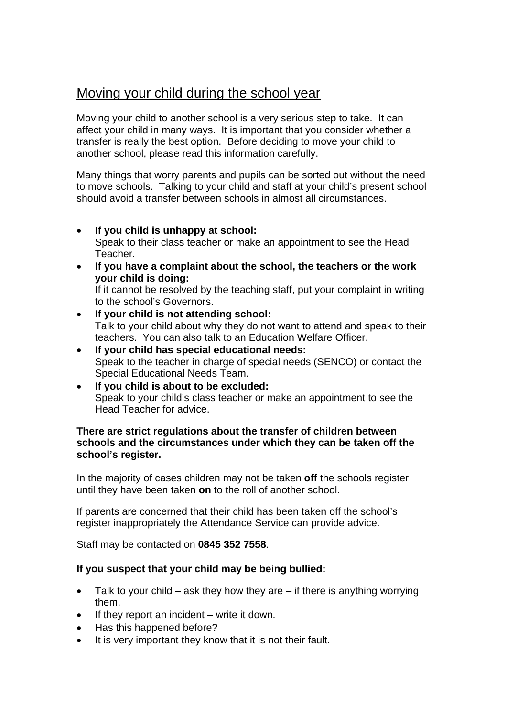# Moving your child during the school year

Moving your child to another school is a very serious step to take. It can affect your child in many ways. It is important that you consider whether a transfer is really the best option. Before deciding to move your child to another school, please read this information carefully.

Many things that worry parents and pupils can be sorted out without the need to move schools. Talking to your child and staff at your child's present school should avoid a transfer between schools in almost all circumstances.

- **If you child is unhappy at school:**  Speak to their class teacher or make an appointment to see the Head Teacher.
- **If you have a complaint about the school, the teachers or the work your child is doing:**

If it cannot be resolved by the teaching staff, put your complaint in writing to the school's Governors.

- **If your child is not attending school:**  Talk to your child about why they do not want to attend and speak to their teachers. You can also talk to an Education Welfare Officer.
- **If your child has special educational needs:**  Speak to the teacher in charge of special needs (SENCO) or contact the Special Educational Needs Team.
- **If you child is about to be excluded:**  Speak to your child's class teacher or make an appointment to see the Head Teacher for advice.

## **There are strict regulations about the transfer of children between schools and the circumstances under which they can be taken off the school's register.**

In the majority of cases children may not be taken **off** the schools register until they have been taken **on** to the roll of another school.

If parents are concerned that their child has been taken off the school's register inappropriately the Attendance Service can provide advice.

Staff may be contacted on **0845 352 7558**.

## **If you suspect that your child may be being bullied:**

- Talk to your child ask they how they are if there is anything worrying them.
- If they report an incident  $-$  write it down.
- Has this happened before?
- It is very important they know that it is not their fault.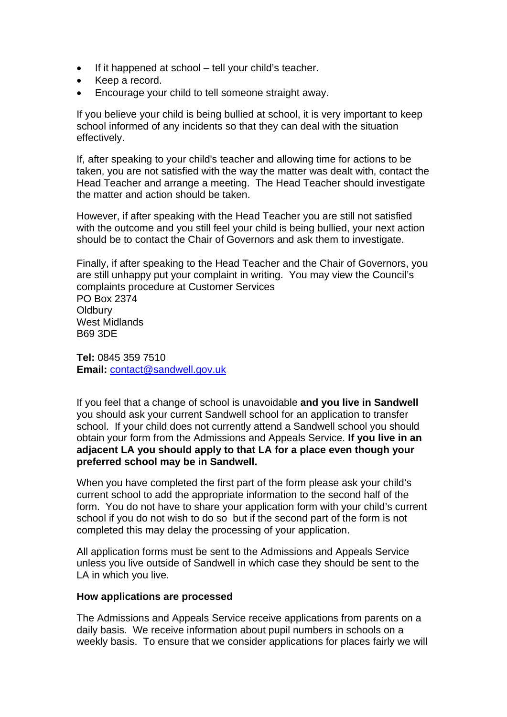- If it happened at school tell your child's teacher.
- Keep a record.
- Encourage your child to tell someone straight away.

If you believe your child is being bullied at school, it is very important to keep school informed of any incidents so that they can deal with the situation effectively.

If, after speaking to your child's teacher and allowing time for actions to be taken, you are not satisfied with the way the matter was dealt with, contact the Head Teacher and arrange a meeting. The Head Teacher should investigate the matter and action should be taken.

However, if after speaking with the Head Teacher you are still not satisfied with the outcome and you still feel your child is being bullied, your next action should be to contact the Chair of Governors and ask them to investigate.

Finally, if after speaking to the Head Teacher and the Chair of Governors, you are still unhappy put your complaint in writing. You may view the Council's complaints procedure at Customer Services

PO Box 2374 **Oldbury** West Midlands B69 3DE

**Tel:** 0845 359 7510 **Email:** [contact@sandwell.gov.uk](mailto:contact@sandwell.gov.uk)

If you feel that a change of school is unavoidable **and you live in Sandwell** you should ask your current Sandwell school for an application to transfer school. If your child does not currently attend a Sandwell school you should obtain your form from the Admissions and Appeals Service. **If you live in an adjacent LA you should apply to that LA for a place even though your preferred school may be in Sandwell.** 

When you have completed the first part of the form please ask your child's current school to add the appropriate information to the second half of the form. You do not have to share your application form with your child's current school if you do not wish to do so but if the second part of the form is not completed this may delay the processing of your application.

All application forms must be sent to the Admissions and Appeals Service unless you live outside of Sandwell in which case they should be sent to the LA in which you live.

### **How applications are processed**

The Admissions and Appeals Service receive applications from parents on a daily basis. We receive information about pupil numbers in schools on a weekly basis. To ensure that we consider applications for places fairly we will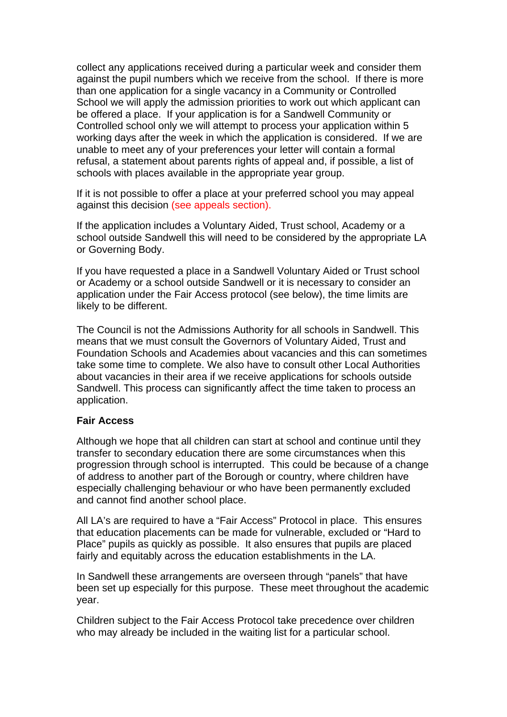collect any applications received during a particular week and consider them against the pupil numbers which we receive from the school. If there is more than one application for a single vacancy in a Community or Controlled School we will apply the admission priorities to work out which applicant can be offered a place. If your application is for a Sandwell Community or Controlled school only we will attempt to process your application within 5 working days after the week in which the application is considered. If we are unable to meet any of your preferences your letter will contain a formal refusal, a statement about parents rights of appeal and, if possible, a list of schools with places available in the appropriate year group.

If it is not possible to offer a place at your preferred school you may appeal against this decision (see appeals section).

If the application includes a Voluntary Aided, Trust school, Academy or a school outside Sandwell this will need to be considered by the appropriate LA or Governing Body.

If you have requested a place in a Sandwell Voluntary Aided or Trust school or Academy or a school outside Sandwell or it is necessary to consider an application under the Fair Access protocol (see below), the time limits are likely to be different.

The Council is not the Admissions Authority for all schools in Sandwell. This means that we must consult the Governors of Voluntary Aided, Trust and Foundation Schools and Academies about vacancies and this can sometimes take some time to complete. We also have to consult other Local Authorities about vacancies in their area if we receive applications for schools outside Sandwell. This process can significantly affect the time taken to process an application.

### **Fair Access**

Although we hope that all children can start at school and continue until they transfer to secondary education there are some circumstances when this progression through school is interrupted. This could be because of a change of address to another part of the Borough or country, where children have especially challenging behaviour or who have been permanently excluded and cannot find another school place.

All LA's are required to have a "Fair Access" Protocol in place. This ensures that education placements can be made for vulnerable, excluded or "Hard to Place" pupils as quickly as possible. It also ensures that pupils are placed fairly and equitably across the education establishments in the LA.

In Sandwell these arrangements are overseen through "panels" that have been set up especially for this purpose. These meet throughout the academic year.

Children subject to the Fair Access Protocol take precedence over children who may already be included in the waiting list for a particular school.